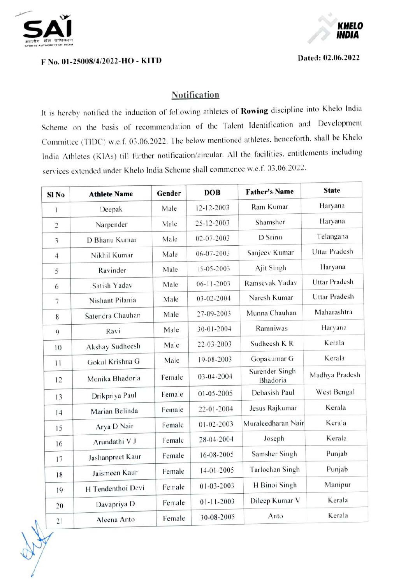

## F No. 01-25008/4/2022-HO - KITD Dated: 02.06.2022



## **Notification**

It is hereby notified the induction of following athletes of Rowing discipline into Khelo India Scheme on the basis of recommendation of the Talent Identification and Development Committee (TIDC) w.e.f. 03.06.2022. The below mentioned athletes. henceforth, shall be Khelo India Athletes (KIAs) till further notification/cireular. All the facilities, entitlements including services extended under Khelo India Scheme shall commence w.e.f. 03.06.2022.

| Sl <sub>No</sub> | <b>Athlete Name</b> | Gender | <b>DOB</b>       | <b>Father's Name</b>       | <b>State</b>   |
|------------------|---------------------|--------|------------------|----------------------------|----------------|
| $\mathbf{1}$     | Deepak              | Male   | 12-12-2003       | Ram Kumar                  | Haryana        |
| $\overline{c}$   | Narpender           | Male   | 25-12-2003       | Shamsher                   | Haryana        |
| 3                | D Bhanu Kumar       | Male   | 02-07-2003       | D Srinu                    | Telangana      |
| $\overline{4}$   | Nikhil Kumar        | Male   | 06-07-2003       | Sanjeev Kumar              | Uttar Pradesh  |
| 5                | Ravinder            | Male   | 15-05-2003       | Ajit Singh                 | Haryana        |
| 6                | Satish Yadav        | Male   | $06-11-2003$     | Ramsevak Yadav             | Uttar Pradesh  |
| $\overline{7}$   | Nishant Pilania     | Male   | 03-02-2004       | Naresh Kumar               | Uttar Pradesh  |
| 8                | Satendra Chauhan    | Male   | 27-09-2003       | Munna Chauhan              | Maharashtra    |
| 9                | Ravi                | Male   | 30-01-2004       | Ramniwas                   | Haryana        |
| 10               | Akshay Sudheesh     | Male   | 22-03-2003       | Sudheesh K R               | Kerala         |
| 11               | Gokul Krishna G     | Male   | 19-08-2003       | Gopakumar G                | Kerala         |
| 12               | Monika Bhadoria     | Female | 03-04-2004       | Surender Singh<br>Bhadoria | Madhya Pradesh |
| 13               | Drikpriya Paul      | Female | 01-05-2005       | Debasish Paul              | West Bengal    |
| 14               | Marian Belinda      | Female | 22-01-2004       | Jesus Rajkumar             | Kerala         |
| 15               | Arya D Nair         | Female | $01 - 02 - 2003$ | Muraleedharan Nair         | Kerala         |
| 16               | Arundathi V J       | Female | 28-04-2004       | Joseph                     | Kerala         |
| 17               | Jashanpreet Kaur    | Female | 16-08-2005       | Samsher Singh              | Punjab         |
| 18               | Jaismeen Kaur       | Female | $14-01-2005$     | Tarlochan Singh            | Punjab         |
| 19               | H Tendenthoi Devi   | Female | $01 - 03 - 2003$ | H Binoi Singh              | Manipur        |
| 20               | Davapriya D         | Female | $01 - 11 - 2003$ | Dileep Kumar V             | Kerala         |
| 21               | Aleena Anto         | Female | 30-08-2005       | Anto                       | Kerala         |